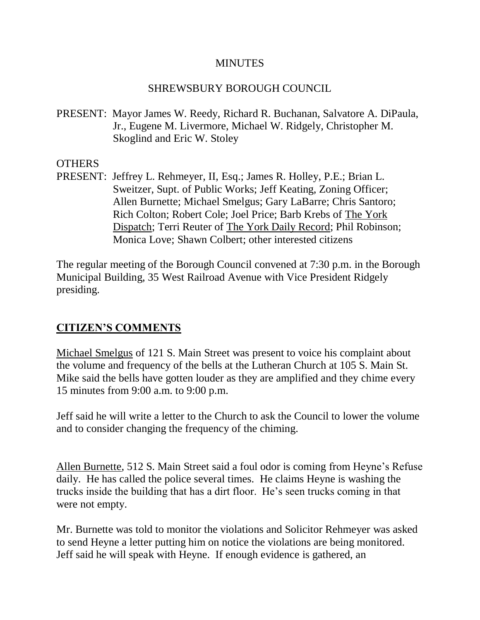### **MINUTES**

### SHREWSBURY BOROUGH COUNCIL

PRESENT: Mayor James W. Reedy, Richard R. Buchanan, Salvatore A. DiPaula, Jr., Eugene M. Livermore, Michael W. Ridgely, Christopher M. Skoglind and Eric W. Stoley

#### **OTHERS**

PRESENT: Jeffrey L. Rehmeyer, II, Esq.; James R. Holley, P.E.; Brian L. Sweitzer, Supt. of Public Works; Jeff Keating, Zoning Officer; Allen Burnette; Michael Smelgus; Gary LaBarre; Chris Santoro; Rich Colton; Robert Cole; Joel Price; Barb Krebs of The York Dispatch; Terri Reuter of The York Daily Record; Phil Robinson; Monica Love; Shawn Colbert; other interested citizens

The regular meeting of the Borough Council convened at 7:30 p.m. in the Borough Municipal Building, 35 West Railroad Avenue with Vice President Ridgely presiding.

### **CITIZEN'S COMMENTS**

Michael Smelgus of 121 S. Main Street was present to voice his complaint about the volume and frequency of the bells at the Lutheran Church at 105 S. Main St. Mike said the bells have gotten louder as they are amplified and they chime every 15 minutes from 9:00 a.m. to 9:00 p.m.

Jeff said he will write a letter to the Church to ask the Council to lower the volume and to consider changing the frequency of the chiming.

Allen Burnette, 512 S. Main Street said a foul odor is coming from Heyne's Refuse daily. He has called the police several times. He claims Heyne is washing the trucks inside the building that has a dirt floor. He's seen trucks coming in that were not empty.

Mr. Burnette was told to monitor the violations and Solicitor Rehmeyer was asked to send Heyne a letter putting him on notice the violations are being monitored. Jeff said he will speak with Heyne. If enough evidence is gathered, an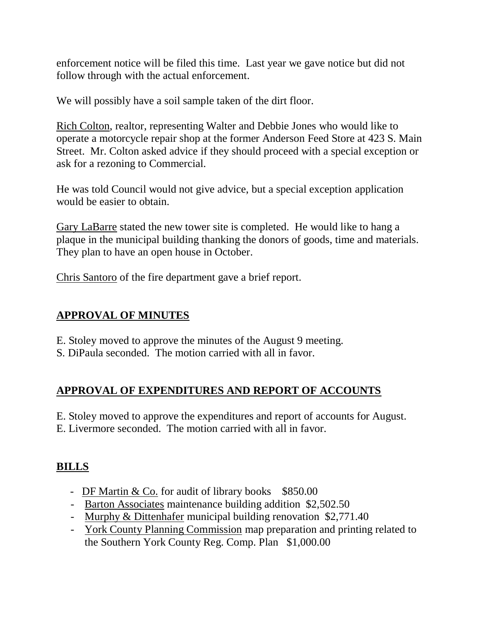enforcement notice will be filed this time. Last year we gave notice but did not follow through with the actual enforcement.

We will possibly have a soil sample taken of the dirt floor.

Rich Colton, realtor, representing Walter and Debbie Jones who would like to operate a motorcycle repair shop at the former Anderson Feed Store at 423 S. Main Street. Mr. Colton asked advice if they should proceed with a special exception or ask for a rezoning to Commercial.

He was told Council would not give advice, but a special exception application would be easier to obtain.

Gary LaBarre stated the new tower site is completed. He would like to hang a plaque in the municipal building thanking the donors of goods, time and materials. They plan to have an open house in October.

Chris Santoro of the fire department gave a brief report.

## **APPROVAL OF MINUTES**

- E. Stoley moved to approve the minutes of the August 9 meeting.
- S. DiPaula seconded. The motion carried with all in favor.

## **APPROVAL OF EXPENDITURES AND REPORT OF ACCOUNTS**

E. Stoley moved to approve the expenditures and report of accounts for August. E. Livermore seconded. The motion carried with all in favor.

## **BILLS**

- DF Martin  $& Co.$  for audit of library books  $$850.00$
- Barton Associates maintenance building addition \$2,502.50
- Murphy & Dittenhafer municipal building renovation \$2,771.40
- York County Planning Commission map preparation and printing related to the Southern York County Reg. Comp. Plan \$1,000.00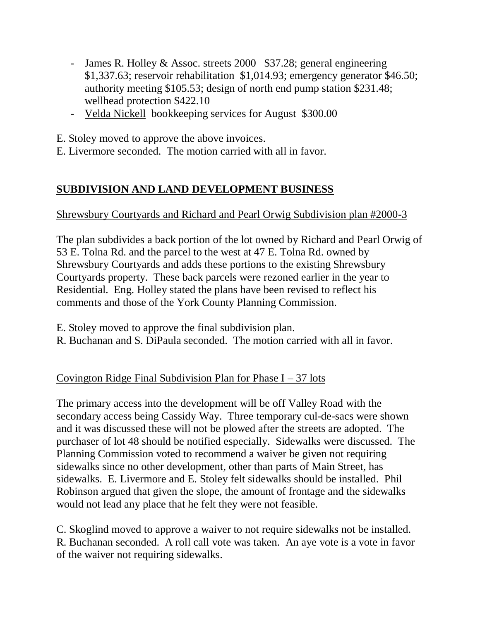- James R. Holley & Assoc. streets 2000 \$37.28; general engineering \$1,337.63; reservoir rehabilitation \$1,014.93; emergency generator \$46.50; authority meeting \$105.53; design of north end pump station \$231.48; wellhead protection \$422.10
- Velda Nickell bookkeeping services for August \$300.00
- E. Stoley moved to approve the above invoices.
- E. Livermore seconded. The motion carried with all in favor.

# **SUBDIVISION AND LAND DEVELOPMENT BUSINESS**

## Shrewsbury Courtyards and Richard and Pearl Orwig Subdivision plan #2000-3

The plan subdivides a back portion of the lot owned by Richard and Pearl Orwig of 53 E. Tolna Rd. and the parcel to the west at 47 E. Tolna Rd. owned by Shrewsbury Courtyards and adds these portions to the existing Shrewsbury Courtyards property. These back parcels were rezoned earlier in the year to Residential. Eng. Holley stated the plans have been revised to reflect his comments and those of the York County Planning Commission.

- E. Stoley moved to approve the final subdivision plan.
- R. Buchanan and S. DiPaula seconded. The motion carried with all in favor.

# Covington Ridge Final Subdivision Plan for Phase  $I - 37$  lots

The primary access into the development will be off Valley Road with the secondary access being Cassidy Way. Three temporary cul-de-sacs were shown and it was discussed these will not be plowed after the streets are adopted. The purchaser of lot 48 should be notified especially. Sidewalks were discussed. The Planning Commission voted to recommend a waiver be given not requiring sidewalks since no other development, other than parts of Main Street, has sidewalks. E. Livermore and E. Stoley felt sidewalks should be installed. Phil Robinson argued that given the slope, the amount of frontage and the sidewalks would not lead any place that he felt they were not feasible.

C. Skoglind moved to approve a waiver to not require sidewalks not be installed. R. Buchanan seconded. A roll call vote was taken. An aye vote is a vote in favor of the waiver not requiring sidewalks.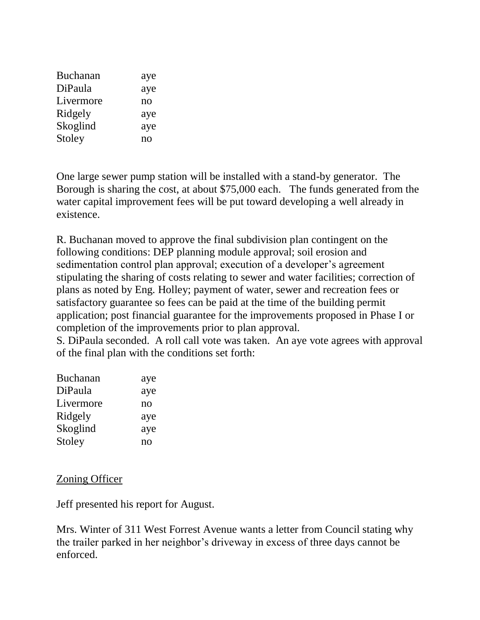| <b>Buchanan</b> | aye |
|-----------------|-----|
| DiPaula         | aye |
| Livermore       | no  |
| Ridgely         | aye |
| Skoglind        | aye |
| Stoley          | no  |

One large sewer pump station will be installed with a stand-by generator. The Borough is sharing the cost, at about \$75,000 each. The funds generated from the water capital improvement fees will be put toward developing a well already in existence.

R. Buchanan moved to approve the final subdivision plan contingent on the following conditions: DEP planning module approval; soil erosion and sedimentation control plan approval; execution of a developer's agreement stipulating the sharing of costs relating to sewer and water facilities; correction of plans as noted by Eng. Holley; payment of water, sewer and recreation fees or satisfactory guarantee so fees can be paid at the time of the building permit application; post financial guarantee for the improvements proposed in Phase I or completion of the improvements prior to plan approval.

S. DiPaula seconded. A roll call vote was taken. An aye vote agrees with approval of the final plan with the conditions set forth:

| aye            |
|----------------|
| aye            |
| no             |
| aye            |
| aye            |
| n <sub>O</sub> |
|                |

Zoning Officer

Jeff presented his report for August.

Mrs. Winter of 311 West Forrest Avenue wants a letter from Council stating why the trailer parked in her neighbor's driveway in excess of three days cannot be enforced.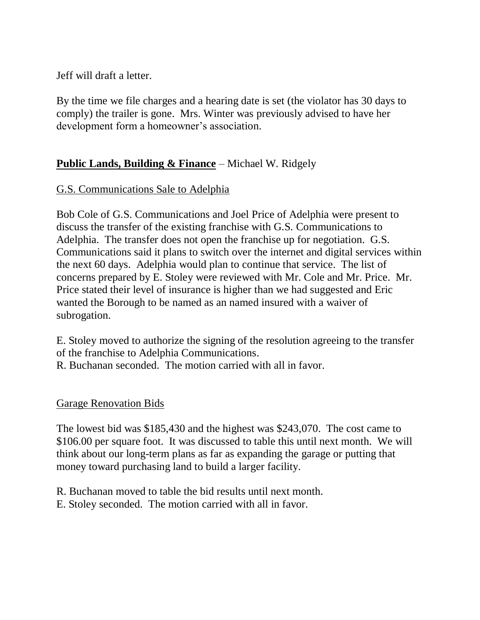Jeff will draft a letter.

By the time we file charges and a hearing date is set (the violator has 30 days to comply) the trailer is gone. Mrs. Winter was previously advised to have her development form a homeowner's association.

## **Public Lands, Building & Finance** – Michael W. Ridgely

## G.S. Communications Sale to Adelphia

Bob Cole of G.S. Communications and Joel Price of Adelphia were present to discuss the transfer of the existing franchise with G.S. Communications to Adelphia. The transfer does not open the franchise up for negotiation. G.S. Communications said it plans to switch over the internet and digital services within the next 60 days. Adelphia would plan to continue that service. The list of concerns prepared by E. Stoley were reviewed with Mr. Cole and Mr. Price. Mr. Price stated their level of insurance is higher than we had suggested and Eric wanted the Borough to be named as an named insured with a waiver of subrogation.

E. Stoley moved to authorize the signing of the resolution agreeing to the transfer of the franchise to Adelphia Communications.

R. Buchanan seconded. The motion carried with all in favor.

### Garage Renovation Bids

The lowest bid was \$185,430 and the highest was \$243,070. The cost came to \$106.00 per square foot. It was discussed to table this until next month. We will think about our long-term plans as far as expanding the garage or putting that money toward purchasing land to build a larger facility.

- R. Buchanan moved to table the bid results until next month.
- E. Stoley seconded. The motion carried with all in favor.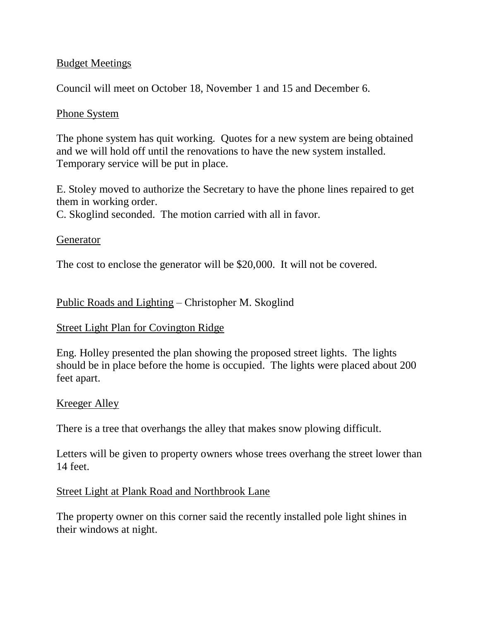### Budget Meetings

Council will meet on October 18, November 1 and 15 and December 6.

### Phone System

The phone system has quit working. Quotes for a new system are being obtained and we will hold off until the renovations to have the new system installed. Temporary service will be put in place.

E. Stoley moved to authorize the Secretary to have the phone lines repaired to get them in working order.

C. Skoglind seconded. The motion carried with all in favor.

### Generator

The cost to enclose the generator will be \$20,000. It will not be covered.

### Public Roads and Lighting – Christopher M. Skoglind

### Street Light Plan for Covington Ridge

Eng. Holley presented the plan showing the proposed street lights. The lights should be in place before the home is occupied. The lights were placed about 200 feet apart.

### Kreeger Alley

There is a tree that overhangs the alley that makes snow plowing difficult.

Letters will be given to property owners whose trees overhang the street lower than 14 feet.

### Street Light at Plank Road and Northbrook Lane

The property owner on this corner said the recently installed pole light shines in their windows at night.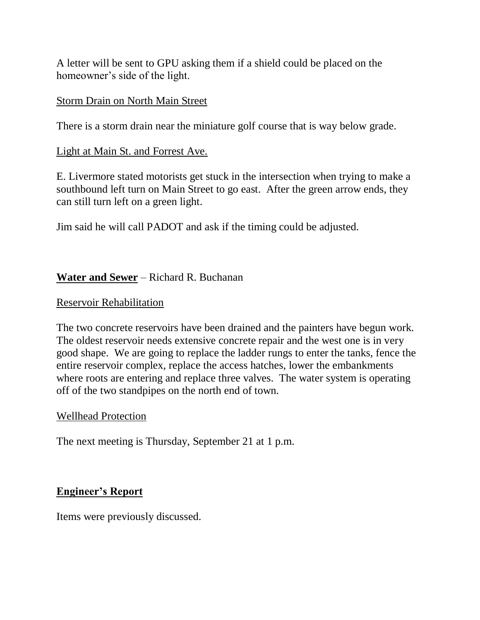A letter will be sent to GPU asking them if a shield could be placed on the homeowner's side of the light.

### Storm Drain on North Main Street

There is a storm drain near the miniature golf course that is way below grade.

### Light at Main St. and Forrest Ave.

E. Livermore stated motorists get stuck in the intersection when trying to make a southbound left turn on Main Street to go east. After the green arrow ends, they can still turn left on a green light.

Jim said he will call PADOT and ask if the timing could be adjusted.

## **Water and Sewer** – Richard R. Buchanan

### Reservoir Rehabilitation

The two concrete reservoirs have been drained and the painters have begun work. The oldest reservoir needs extensive concrete repair and the west one is in very good shape. We are going to replace the ladder rungs to enter the tanks, fence the entire reservoir complex, replace the access hatches, lower the embankments where roots are entering and replace three valves. The water system is operating off of the two standpipes on the north end of town.

### Wellhead Protection

The next meeting is Thursday, September 21 at 1 p.m.

## **Engineer's Report**

Items were previously discussed.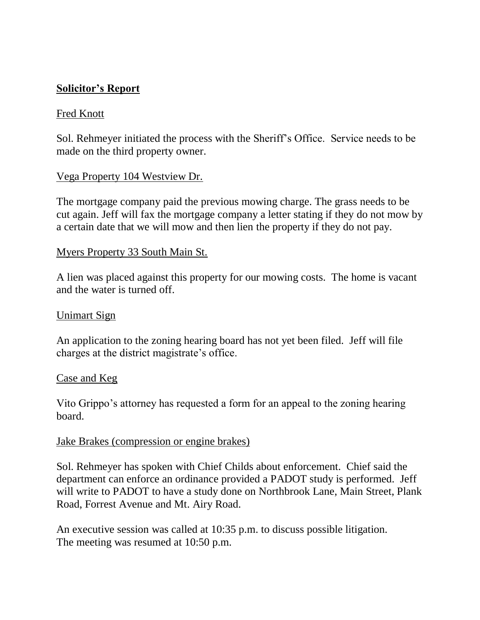### **Solicitor's Report**

### Fred Knott

Sol. Rehmeyer initiated the process with the Sheriff's Office. Service needs to be made on the third property owner.

#### Vega Property 104 Westview Dr.

The mortgage company paid the previous mowing charge. The grass needs to be cut again. Jeff will fax the mortgage company a letter stating if they do not mow by a certain date that we will mow and then lien the property if they do not pay.

#### Myers Property 33 South Main St.

A lien was placed against this property for our mowing costs. The home is vacant and the water is turned off.

#### Unimart Sign

An application to the zoning hearing board has not yet been filed. Jeff will file charges at the district magistrate's office.

#### Case and Keg

Vito Grippo's attorney has requested a form for an appeal to the zoning hearing board.

#### Jake Brakes (compression or engine brakes)

Sol. Rehmeyer has spoken with Chief Childs about enforcement. Chief said the department can enforce an ordinance provided a PADOT study is performed. Jeff will write to PADOT to have a study done on Northbrook Lane, Main Street, Plank Road, Forrest Avenue and Mt. Airy Road.

An executive session was called at 10:35 p.m. to discuss possible litigation. The meeting was resumed at 10:50 p.m.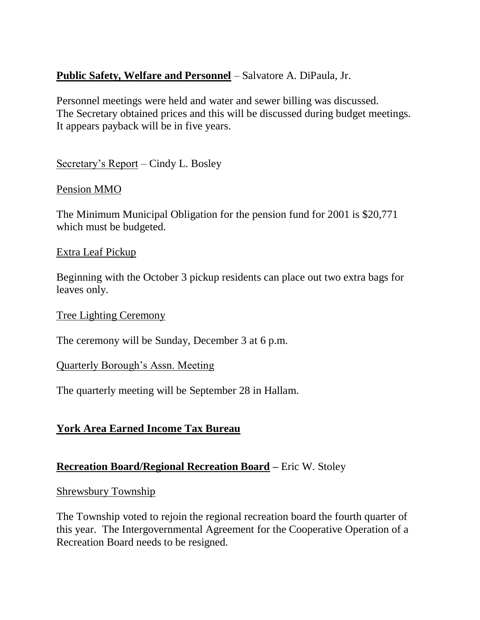### **Public Safety, Welfare and Personnel** – Salvatore A. DiPaula, Jr.

Personnel meetings were held and water and sewer billing was discussed. The Secretary obtained prices and this will be discussed during budget meetings. It appears payback will be in five years.

Secretary's Report – Cindy L. Bosley

### Pension MMO

The Minimum Municipal Obligation for the pension fund for 2001 is \$20,771 which must be budgeted.

### Extra Leaf Pickup

Beginning with the October 3 pickup residents can place out two extra bags for leaves only.

### Tree Lighting Ceremony

The ceremony will be Sunday, December 3 at 6 p.m.

### Quarterly Borough's Assn. Meeting

The quarterly meeting will be September 28 in Hallam.

## **York Area Earned Income Tax Bureau**

### **Recreation Board/Regional Recreation Board –** Eric W. Stoley

#### Shrewsbury Township

The Township voted to rejoin the regional recreation board the fourth quarter of this year. The Intergovernmental Agreement for the Cooperative Operation of a Recreation Board needs to be resigned.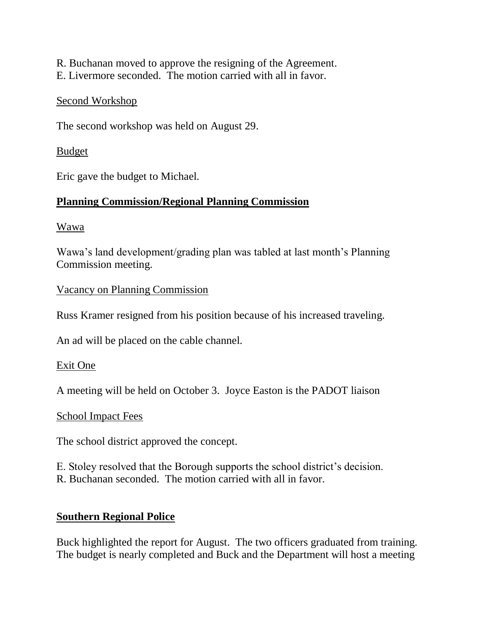R. Buchanan moved to approve the resigning of the Agreement. E. Livermore seconded. The motion carried with all in favor.

#### Second Workshop

The second workshop was held on August 29.

### Budget

Eric gave the budget to Michael.

## **Planning Commission/Regional Planning Commission**

Wawa

Wawa's land development/grading plan was tabled at last month's Planning Commission meeting.

Vacancy on Planning Commission

Russ Kramer resigned from his position because of his increased traveling.

An ad will be placed on the cable channel.

### Exit One

A meeting will be held on October 3. Joyce Easton is the PADOT liaison

### School Impact Fees

The school district approved the concept.

E. Stoley resolved that the Borough supports the school district's decision. R. Buchanan seconded. The motion carried with all in favor.

## **Southern Regional Police**

Buck highlighted the report for August. The two officers graduated from training. The budget is nearly completed and Buck and the Department will host a meeting